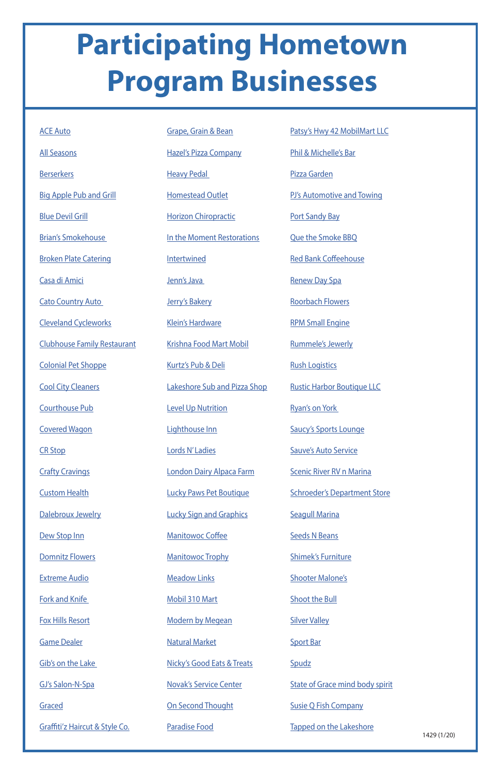## **Participating Hometown Program Businesses**

| <b>ACE Auto</b>                    | Grape, Grain & Bean          |
|------------------------------------|------------------------------|
| <b>All Seasons</b>                 | <b>Hazel's Pizza Compa</b>   |
| <b>Berserkers</b>                  | <u>Heavy Pedal</u>           |
| <b>Big Apple Pub and Grill</b>     | <b>Homestead Outlet</b>      |
| <b>Blue Devil Grill</b>            | <b>Horizon Chiropraction</b> |
| <b>Brian's Smokehouse</b>          | In the Moment Rest           |
| <b>Broken Plate Catering</b>       | <b>Intertwined</b>           |
| Casa di Amici                      | Jenn's Java                  |
| <b>Cato Country Auto</b>           | Jerry's Bakery               |
| <b>Cleveland Cycleworks</b>        | <b>Klein's Hardware</b>      |
| <b>Clubhouse Family Restaurant</b> | <b>Krishna Food Mart N</b>   |
| <b>Colonial Pet Shoppe</b>         | Kurtz's Pub & Deli           |
| <b>Cool City Cleaners</b>          | <b>Lakeshore Sub and F</b>   |
| Courthouse Pub                     | <b>Level Up Nutrition</b>    |
| <b>Covered Wagon</b>               | Lighthouse Inn               |
| <b>CR Stop</b>                     | Lords N'Ladies               |
| <b>Crafty Cravings</b>             | London Dairy Alpaca          |
| <b>Custom Health</b>               | <b>Lucky Paws Pet Bout</b>   |
| Dalebroux Jewelry                  | <b>Lucky Sign and Grap</b>   |
| Dew Stop Inn                       | <b>Manitowoc Coffee</b>      |
| Domnitz Flowers                    | <b>Manitowoc Trophy</b>      |

lizza Company edal ead Outlet Chiropractic **Oment Restorations** ned va akery ardware <u>Food Mart Mobil</u> <u>ub & Deli</u> re Sub and Pizza Shop **Nutrition** <u>use Inn</u> Ladies Dairy Alpaca Farm **Lucky Pet Boutique** gn and Graphics **Noc Coffee Noc Trophy** 

Extreme Audio

Fork and Knife

Fox Hills Resort

Game Dealer

Gib's on the Lake

GJ's Salon-N-Spa

Graced

Graffiti'z Haircut & Style Co.

**Meadow Links** 

1429 (1/20)

Mobil 310 Mart

Modern by Megean

Natural Market

Nicky's Good Eats & Treats

Novak's Service Center

On Second Thought

Paradise Food

Patsy's Hwy 42 MobilMart LLC

Phil & Michelle's Bar

Pizza Garden

PJ's Automotive and Towing

Port Sandy Bay

Que the Smoke BBQ

Red Bank Coffeehouse

Renew Day Spa

Roorbach Flowers

RPM Small Engine

Rummele's Jewerly

**Rush Logistics** 

Rustic Harbor Boutique LLC

Ryan's on York

Saucy's Sports Lounge

Sauve's Auto Service

**Scenic River RV n Marina** 

Schroeder's Department Store

Seagull Marina

Seeds N Beans

Shimek's Furniture

Shooter Malone's

Shoot the Bull

Silver Valley

Sport Bar

**Spudz** 

State of Grace mind body spirit

Susie Q Fish Company

Tapped on the Lakeshore